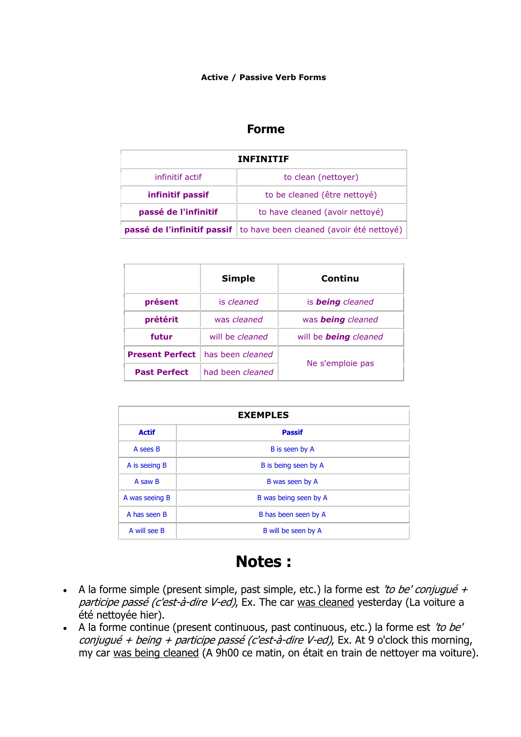#### **Active / Passive Verb Forms**

### **Forme**

| <b>INFINITIF</b>                                                              |                                 |  |
|-------------------------------------------------------------------------------|---------------------------------|--|
| infinitif actif                                                               | to clean (nettoyer)             |  |
| infinitif passif                                                              | to be cleaned (être nettoyé)    |  |
| passé de l'infinitif                                                          | to have cleaned (avoir nettoyé) |  |
| <b>passé de l'infinitif passif</b>   to have been cleaned (avoir été nettoyé) |                                 |  |

|                        | <b>Simple</b>           | Continu                      |
|------------------------|-------------------------|------------------------------|
| présent                | is cleaned              | is <b>being</b> cleaned      |
| prétérit               | was cleaned             | was <b>being</b> cleaned     |
| futur                  | will be <i>cleaned</i>  | will be <b>being</b> cleaned |
| <b>Present Perfect</b> | has been <i>cleaned</i> |                              |
| <b>Past Perfect</b>    | had been cleaned        | Ne s'emploie pas             |

| <b>EXEMPLES</b> |                       |  |
|-----------------|-----------------------|--|
| <b>Actif</b>    | <b>Passif</b>         |  |
| A sees B        | B is seen by A        |  |
| A is seeing B   | B is being seen by A  |  |
| A saw B         | B was seen by A       |  |
| A was seeing B  | B was being seen by A |  |
| A has seen B    | B has been seen by A  |  |
| A will see B    | B will be seen by A   |  |

# **Notes :**

- A la forme simple (present simple, past simple, etc.) la forme est *'to be' conjugué + participe passé (c'est-à-dire V-ed)*, Ex. The car was cleaned yesterday (La voiture a été nettoyée hier).
- A la forme continue (present continuous, past continuous, etc.) la forme est *'to be' conjugué + being + participe passé (c'est-à-dire V-ed)*, Ex. At 9 o'clock this morning, my car was being cleaned (A 9h00 ce matin, on était en train de nettoyer ma voiture).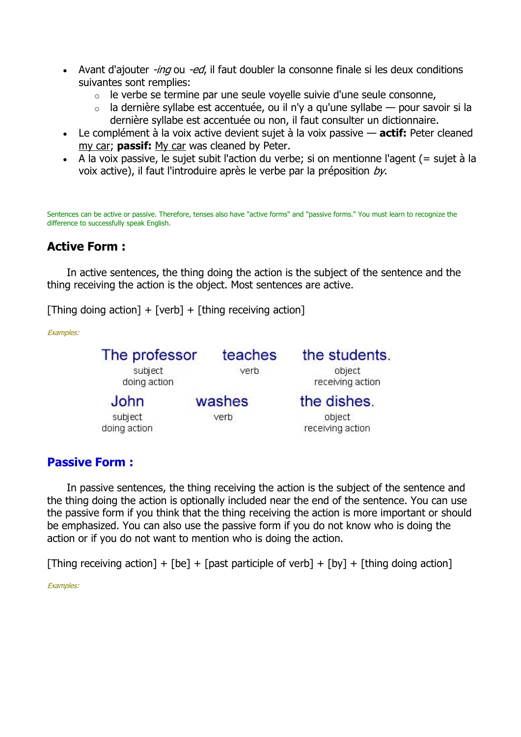- Avant d'ajouter *-ing* ou *-ed*, il faut doubler la consonne finale si les deux conditions suivantes sont remplies:
	- o le verbe se termine par une seule voyelle suivie d'une seule consonne,
	- $\circ$  la dernière syllabe est accentuée, ou il n'y a qu'une syllabe pour savoir si la dernière syllabe est accentuée ou non, il faut consulter un dictionnaire.
- Le complément à la voix active devient sujet à la voix passive **actif:** Peter cleaned my car; **passif:** My car was cleaned by Peter.
- A la voix passive, le sujet subit l'action du verbe; si on mentionne l'agent (= sujet à la voix active), il faut l'introduire après le verbe par la préposition *by*.

Sentences can be active or passive. Therefore, tenses also have "active forms" and "passive forms." You must learn to recognize the difference to successfully speak English.

### **Active Form :**

In active sentences, the thing doing the action is the subject of the sentence and the thing receiving the action is the object. Most sentences are active.

[Thing doing action] + [verb] + [thing receiving action]

*Examples:*

| The professor<br>subject<br>doing action | teaches<br>verb | the students.<br>object<br>receiving action |
|------------------------------------------|-----------------|---------------------------------------------|
| John<br>subject                          | washes<br>verb  | the dishes.<br>object                       |
| doing action                             |                 | receiving action                            |

#### **Passive Form :**

In passive sentences, the thing receiving the action is the subject of the sentence and the thing doing the action is optionally included near the end of the sentence. You can use the passive form if you think that the thing receiving the action is more important or should be emphasized. You can also use the passive form if you do not know who is doing the action or if you do not want to mention who is doing the action.

[Thing receiving action] + [be] + [past participle of verb] + [by] + [thing doing action]

*Examples:*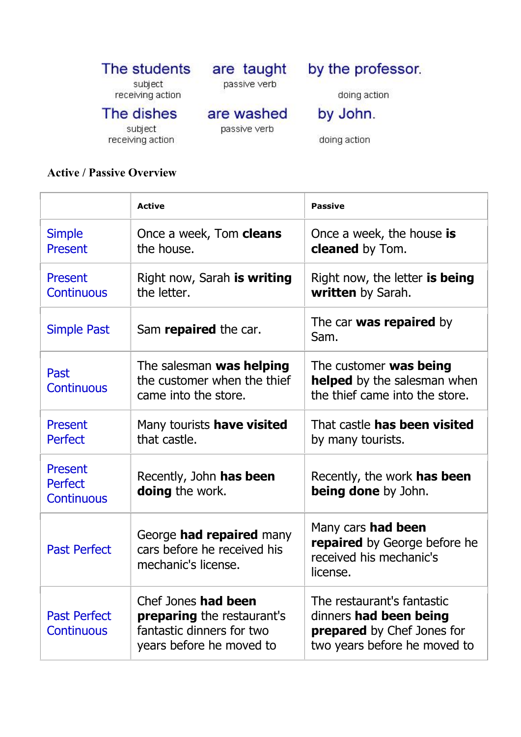#### by the professor. The students are taught passive verb

subject receiving action

are washed

doing action

The dishes

subject receiving action passive verb

by John.

doing action

## **Active / Passive Overview**

|                                                | <b>Active</b>                                                                                                     | <b>Passive</b>                                                                                                     |
|------------------------------------------------|-------------------------------------------------------------------------------------------------------------------|--------------------------------------------------------------------------------------------------------------------|
| <b>Simple</b><br><b>Present</b>                | Once a week, Tom <b>cleans</b><br>the house.                                                                      | Once a week, the house is<br><b>cleaned</b> by Tom.                                                                |
| <b>Present</b><br><b>Continuous</b>            | Right now, Sarah is writing<br>the letter.                                                                        | Right now, the letter is being<br><b>written</b> by Sarah.                                                         |
| <b>Simple Past</b>                             | Sam repaired the car.                                                                                             | The car <b>was repaired</b> by<br>Sam.                                                                             |
| Past<br><b>Continuous</b>                      | The salesman was helping<br>the customer when the thief<br>came into the store.                                   | The customer <b>was being</b><br><b>helped</b> by the salesman when<br>the thief came into the store.              |
| <b>Present</b><br><b>Perfect</b>               | Many tourists have visited<br>that castle.                                                                        | That castle <b>has been visited</b><br>by many tourists.                                                           |
| Present<br><b>Perfect</b><br><b>Continuous</b> | Recently, John has been<br><b>doing</b> the work.                                                                 | Recently, the work <b>has been</b><br><b>being done</b> by John.                                                   |
| <b>Past Perfect</b>                            | George <b>had repaired</b> many<br>cars before he received his<br>mechanic's license.                             | Many cars <b>had been</b><br>repaired by George before he<br>received his mechanic's<br>license.                   |
| <b>Past Perfect</b><br><b>Continuous</b>       | Chef Jones had been<br><b>preparing</b> the restaurant's<br>fantastic dinners for two<br>years before he moved to | The restaurant's fantastic<br>dinners had been being<br>prepared by Chef Jones for<br>two years before he moved to |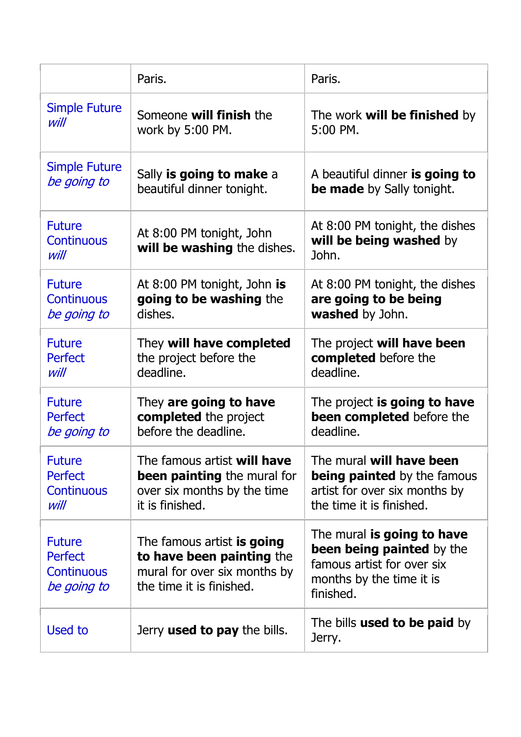|                                                                     | Paris.                                                                                                              | Paris.                                                                                                                                |
|---------------------------------------------------------------------|---------------------------------------------------------------------------------------------------------------------|---------------------------------------------------------------------------------------------------------------------------------------|
| <b>Simple Future</b>                                                | Someone will finish the                                                                                             | The work <b>will be finished</b> by                                                                                                   |
| will                                                                | work by 5:00 PM.                                                                                                    | $5:00$ PM.                                                                                                                            |
| <b>Simple Future</b>                                                | Sally is going to make a                                                                                            | A beautiful dinner is going to                                                                                                        |
| be going to                                                         | beautiful dinner tonight.                                                                                           | be made by Sally tonight.                                                                                                             |
| <b>Future</b><br><b>Continuous</b><br>will                          | At 8:00 PM tonight, John<br>will be washing the dishes.                                                             | At 8:00 PM tonight, the dishes<br>will be being washed by<br>John.                                                                    |
| <b>Future</b>                                                       | At 8:00 PM tonight, John is                                                                                         | At 8:00 PM tonight, the dishes                                                                                                        |
| <b>Continuous</b>                                                   | going to be washing the                                                                                             | are going to be being                                                                                                                 |
| be going to                                                         | dishes.                                                                                                             | washed by John.                                                                                                                       |
| <b>Future</b>                                                       | They will have completed                                                                                            | The project <b>will have been</b>                                                                                                     |
| <b>Perfect</b>                                                      | the project before the                                                                                              | completed before the                                                                                                                  |
| will                                                                | deadline.                                                                                                           | deadline.                                                                                                                             |
| <b>Future</b>                                                       | They are going to have                                                                                              | The project is going to have                                                                                                          |
| <b>Perfect</b>                                                      | completed the project                                                                                               | been completed before the                                                                                                             |
| be going to                                                         | before the deadline.                                                                                                | deadline.                                                                                                                             |
| <b>Future</b>                                                       | The famous artist will have                                                                                         | The mural will have been                                                                                                              |
| Perfect                                                             | <b>been painting</b> the mural for                                                                                  | <b>being painted</b> by the famous                                                                                                    |
| <b>Continuous</b>                                                   | over six months by the time                                                                                         | artist for over six months by                                                                                                         |
| will                                                                | it is finished.                                                                                                     | the time it is finished.                                                                                                              |
| <b>Future</b><br><b>Perfect</b><br><b>Continuous</b><br>be going to | The famous artist is going<br>to have been painting the<br>mural for over six months by<br>the time it is finished. | The mural is going to have<br><b>been being painted</b> by the<br>famous artist for over six<br>months by the time it is<br>finished. |
| Used to                                                             | Jerry <b>used to pay</b> the bills.                                                                                 | The bills <b>used to be paid</b> by<br>Jerry.                                                                                         |